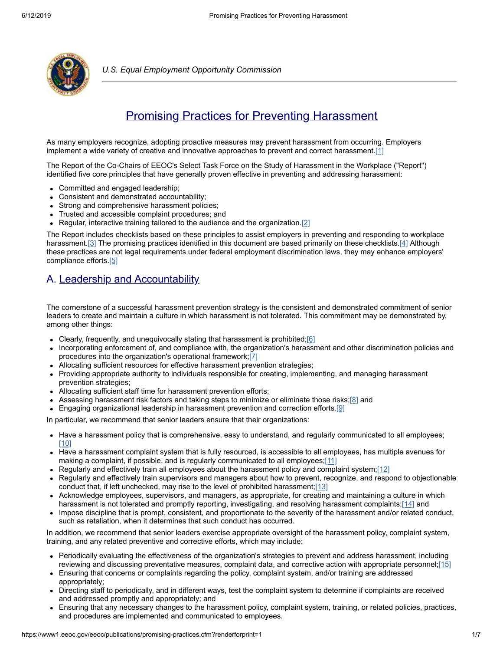

*U.S. Equal Employment Opportunity Commission*

# <span id="page-0-0"></span>Promising Practices for Preventing Harassment

As many employers recognize, adopting proactive measures may prevent harassment from occurring. Employers implement a wide variety of creative and innovative approaches to prevent and correct harassment. $[1]$ 

The Report of the Co-Chairs of EEOC's Select Task Force on the Study of Harassment in the Workplace ("Report") identified five core principles that have generally proven effective in preventing and addressing harassment:

- Committed and engaged leadership;
- Consistent and demonstrated accountability;
- $\bullet$ Strong and comprehensive harassment policies;
- Trusted and accessible complaint procedures; and
- Regular, interactive training tailored to the audience and the organization.<sup>[2]</sup>

The Report includes checklists based on these principles to assist employers in preventing and responding to workplace harassment.[\[3\]](#page-3-2) The promising practices identified in this document are based primarily on these checklists[.\[4\]](#page-3-3) Although these practices are not legal requirements under federal employment discrimination laws, they may enhance employers' compliance efforts[.\[5\]](#page-3-4)

### A. Leadership and Accountability

The cornerstone of a successful harassment prevention strategy is the consistent and demonstrated commitment of senior leaders to create and maintain a culture in which harassment is not tolerated. This commitment may be demonstrated by, among other things:

- <span id="page-0-1"></span>• Clearly, frequently, and unequivocally stating that harassment is prohibited; $[6]$
- Incorporating enforcement of, and compliance with, the organization's harassment and other discrimination policies and procedures into the organization's operational framework;[\[7\]](#page-3-6)
- Allocating sufficient resources for effective harassment prevention strategies;
- Providing appropriate authority to individuals responsible for creating, implementing, and managing harassment prevention strategies;
- Allocating sufficient staff time for harassment prevention efforts;
- Assessing harassment risk factors and taking steps to minimize or eliminate those risks; $[8]$  and
- **Engaging organizational leadership in harassment prevention and correction efforts.** [\[9\]](#page-4-0)

In particular, we recommend that senior leaders ensure that their organizations:

- Have a harassment policy that is comprehensive, easy to understand, and regularly communicated to all employees; [\[10\]](#page-4-1)
- Have a harassment complaint system that is fully resourced, is accessible to all employees, has multiple avenues for  $\bullet$ making a complaint, if possible, and is regularly communicated to all employees; $[11]$
- Regularly and effectively train all employees about the harassment policy and complaint system; $[12]$
- Regularly and effectively train supervisors and managers about how to prevent, recognize, and respond to objectionable conduct that, if left unchecked, may rise to the level of prohibited harassment; $[13]$
- Acknowledge employees, supervisors, and managers, as appropriate, for creating and maintaining a culture in which harassment is not tolerated and promptly reporting, investigating, and resolving harassment complaints;[\[14\]](#page-4-5) and
- Impose discipline that is prompt, consistent, and proportionate to the severity of the harassment and/or related conduct, such as retaliation, when it determines that such conduct has occurred.

In addition, we recommend that senior leaders exercise appropriate oversight of the harassment policy, complaint system, training, and any related preventive and corrective efforts, which may include:

- Periodically evaluating the effectiveness of the organization's strategies to prevent and address harassment, including reviewing and discussing preventative measures, complaint data, and corrective action with appropriate personnel[;\[15\]](#page-4-6)
- Ensuring that concerns or complaints regarding the policy, complaint system, and/or training are addressed  $\bullet$ appropriately;
- Directing staff to periodically, and in different ways, test the complaint system to determine if complaints are received and addressed promptly and appropriately; and
- Ensuring that any necessary changes to the harassment policy, complaint system, training, or related policies, practices, and procedures are implemented and communicated to employees.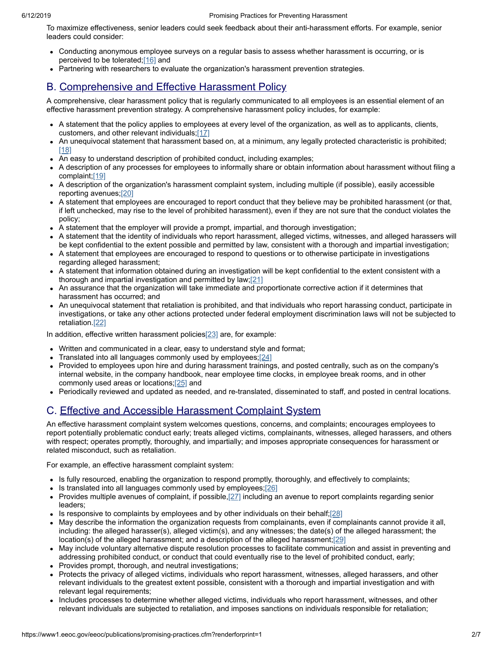To maximize effectiveness, senior leaders could seek feedback about their anti-harassment efforts. For example, senior leaders could consider:

- Conducting anonymous employee surveys on a regular basis to assess whether harassment is occurring, or is perceived to be tolerated[;\[16\]](#page-4-7) and
- Partnering with researchers to evaluate the organization's harassment prevention strategies.

#### B. Comprehensive and Effective Harassment Policy

A comprehensive, clear harassment policy that is regularly communicated to all employees is an essential element of an effective harassment prevention strategy. A comprehensive harassment policy includes, for example:

- A statement that the policy applies to employees at every level of the organization, as well as to applicants, clients, customers, and other relevant individuals[;\[17\]](#page-4-8)
- An unequivocal statement that harassment based on, at a minimum, any legally protected characteristic is prohibited; [\[18\]](#page-4-9)
- An easy to understand description of prohibited conduct, including examples;
- A description of any processes for employees to informally share or obtain information about harassment without filing a complaint[;\[19\]](#page-4-10)
- A description of the organization's harassment complaint system, including multiple (if possible), easily accessible reporting avenues[;\[20\]](#page-4-11)
- A statement that employees are encouraged to report conduct that they believe may be prohibited harassment (or that, if left unchecked, may rise to the level of prohibited harassment), even if they are not sure that the conduct violates the policy;
- A statement that the employer will provide a prompt, impartial, and thorough investigation;
- A statement that the identity of individuals who report harassment, alleged victims, witnesses, and alleged harassers will be kept confidential to the extent possible and permitted by law, consistent with a thorough and impartial investigation;
- A statement that employees are encouraged to respond to questions or to otherwise participate in investigations regarding alleged harassment;
- <span id="page-1-0"></span>A statement that information obtained during an investigation will be kept confidential to the extent consistent with a thorough and impartial investigation and permitted by law; $[21]$
- An assurance that the organization will take immediate and proportionate corrective action if it determines that harassment has occurred; and
- <span id="page-1-1"></span>An unequivocal statement that retaliation is prohibited, and that individuals who report harassing conduct, participate in investigations, or take any other actions protected under federal employment discrimination laws will not be subjected to retaliation.[\[22\]](#page-5-1)

In addition, effective written harassment policie[s\[23\]](#page-5-2) are, for example:

- Written and communicated in a clear, easy to understand style and format;
- Translated into all languages commonly used by employees; $[24]$
- Provided to employees upon hire and during harassment trainings, and posted centrally, such as on the company's internal website, in the company handbook, near employee time clocks, in employee break rooms, and in other commonly used areas or locations;[\[25\]](#page-5-4) and
- Periodically reviewed and updated as needed, and re-translated, disseminated to staff, and posted in central locations.

## C. Effective and Accessible Harassment Complaint System

An effective harassment complaint system welcomes questions, concerns, and complaints; encourages employees to report potentially problematic conduct early; treats alleged victims, complainants, witnesses, alleged harassers, and others with respect; operates promptly, thoroughly, and impartially; and imposes appropriate consequences for harassment or related misconduct, such as retaliation.

For example, an effective harassment complaint system:

- Is fully resourced, enabling the organization to respond promptly, thoroughly, and effectively to complaints;
- <span id="page-1-2"></span> $\bullet$  Is translated into all languages commonly used by employees; $[26]$
- Provides multiple avenues of complaint, if possible, $[27]$  including an avenue to report complaints regarding senior leaders;
- Is responsive to complaints by employees and by other individuals on their behalf; $[28]$
- May describe the information the organization requests from complainants, even if complainants cannot provide it all, including: the alleged harasser(s), alleged victim(s), and any witnesses; the date(s) of the alleged harassment; the location(s) of the alleged harassment; and a description of the alleged harassment;[\[29\]](#page-5-8)
- <span id="page-1-3"></span>May include voluntary alternative dispute resolution processes to facilitate communication and assist in preventing and addressing prohibited conduct, or conduct that could eventually rise to the level of prohibited conduct, early;
- Provides prompt, thorough, and neutral investigations;
- Protects the privacy of alleged victims, individuals who report harassment, witnesses, alleged harassers, and other relevant individuals to the greatest extent possible, consistent with a thorough and impartial investigation and with relevant legal requirements;
- Includes processes to determine whether alleged victims, individuals who report harassment, witnesses, and other relevant individuals are subjected to retaliation, and imposes sanctions on individuals responsible for retaliation;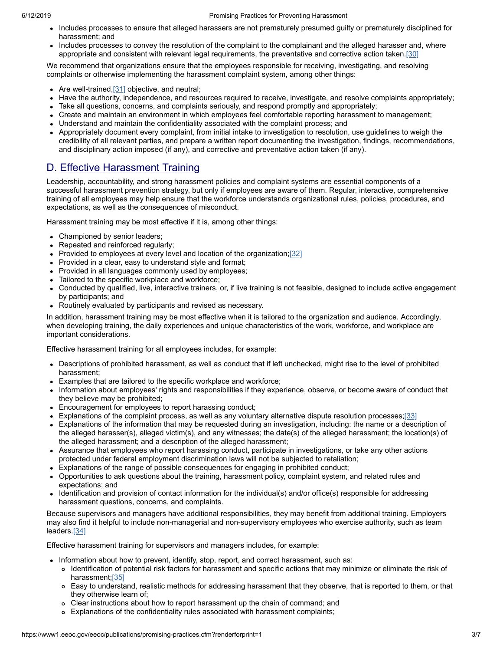#### 6/12/2019 Promising Practices for Preventing Harassment

- Includes processes to ensure that alleged harassers are not prematurely presumed guilty or prematurely disciplined for harassment; and
- Includes processes to convey the resolution of the complaint to the complainant and the alleged harasser and, where appropriate and consistent with relevant legal requirements, the preventative and corrective action taken.[\[30\]](#page-5-9)

We recommend that organizations ensure that the employees responsible for receiving, investigating, and resolving complaints or otherwise implementing the harassment complaint system, among other things:

- Are well-trained, [\[31\]](#page-5-10) objective, and neutral;
- Have the authority, independence, and resources required to receive, investigate, and resolve complaints appropriately;
- Take all questions, concerns, and complaints seriously, and respond promptly and appropriately;
- Create and maintain an environment in which employees feel comfortable reporting harassment to management;
- Understand and maintain the confidentiality associated with the complaint process; and
- Appropriately document every complaint, from initial intake to investigation to resolution, use guidelines to weigh the credibility of all relevant parties, and prepare a written report documenting the investigation, findings, recommendations, and disciplinary action imposed (if any), and corrective and preventative action taken (if any).

### D. Effective Harassment Training

Leadership, accountability, and strong harassment policies and complaint systems are essential components of a successful harassment prevention strategy, but only if employees are aware of them. Regular, interactive, comprehensive training of all employees may help ensure that the workforce understands organizational rules, policies, procedures, and expectations, as well as the consequences of misconduct.

Harassment training may be most effective if it is, among other things:

- Championed by senior leaders;
- Repeated and reinforced regularly;
- Provided to employees at every level and location of the organization;  $[32]$
- Provided in a clear, easy to understand style and format;
- Provided in all languages commonly used by employees;
- Tailored to the specific workplace and workforce;
- Conducted by qualified, live, interactive trainers, or, if live training is not feasible, designed to include active engagement by participants; and
- Routinely evaluated by participants and revised as necessary.

In addition, harassment training may be most effective when it is tailored to the organization and audience. Accordingly, when developing training, the daily experiences and unique characteristics of the work, workforce, and workplace are important considerations.

Effective harassment training for all employees includes, for example:

- Descriptions of prohibited harassment, as well as conduct that if left unchecked, might rise to the level of prohibited harassment;
- Examples that are tailored to the specific workplace and workforce;
- Information about employees' rights and responsibilities if they experience, observe, or become aware of conduct that they believe may be prohibited;
- Encouragement for employees to report harassing conduct;
- Explanations of the complaint process, as well as any voluntary alternative dispute resolution processes[;\[33\]](#page-5-12)
- Explanations of the information that may be requested during an investigation, including: the name or a description of the alleged harasser(s), alleged victim(s), and any witnesses; the date(s) of the alleged harassment; the location(s) of the alleged harassment; and a description of the alleged harassment;
- Assurance that employees who report harassing conduct, participate in investigations, or take any other actions protected under federal employment discrimination laws will not be subjected to retaliation;
- Explanations of the range of possible consequences for engaging in prohibited conduct;
- Opportunities to ask questions about the training, harassment policy, complaint system, and related rules and expectations; and
- Identification and provision of contact information for the individual(s) and/or office(s) responsible for addressing harassment questions, concerns, and complaints.

Because supervisors and managers have additional responsibilities, they may benefit from additional training. Employers may also find it helpful to include non-managerial and non-supervisory employees who exercise authority, such as team leaders.<sup>[34]</sup>

Effective harassment training for supervisors and managers includes, for example:

- Information about how to prevent, identify, stop, report, and correct harassment, such as:
	- Identification of potential risk factors for harassment and specific actions that may minimize or eliminate the risk of harassment[;\[35\]](#page-6-1)
	- Easy to understand, realistic methods for addressing harassment that they observe, that is reported to them, or that they otherwise learn of;
	- Clear instructions about how to report harassment up the chain of command; and
	- Explanations of the confidentiality rules associated with harassment complaints;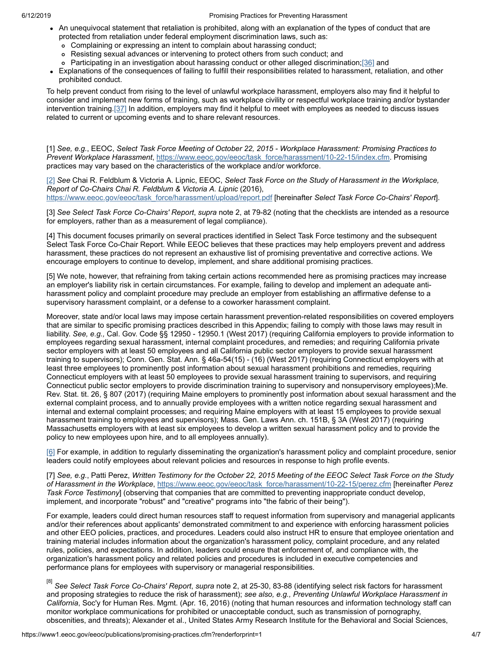#### 6/12/2019 Promising Practices for Preventing Harassment

- An unequivocal statement that retaliation is prohibited, along with an explanation of the types of conduct that are protected from retaliation under federal employment discrimination laws, such as:
	- Complaining or expressing an intent to complain about harassing conduct;
	- Resisting sexual advances or intervening to protect others from such conduct; and
	- o Participating in an investigation about harassing conduct or other alleged discrimination;[\[36\]](#page-6-2) and
- <span id="page-3-8"></span>Explanations of the consequences of failing to fulfill their responsibilities related to harassment, retaliation, and other prohibited conduct.

To help prevent conduct from rising to the level of unlawful workplace harassment, employers also may find it helpful to consider and implement new forms of training, such as workplace civility or respectful workplace training and/or bystander intervention training.[\[37\]](#page-6-3) In addition, employers may find it helpful to meet with employees as needed to discuss issues related to current or upcoming events and to share relevant resources.

<span id="page-3-0"></span>[1] See, e.g., EEOC, Select Task Force Meeting of October 22, 2015 - Workplace Harassment: Promising Practices to *Prevent Workplace Harassment*, [https://www.eeoc.gov/eeoc/task\\_force/harassment/10-22-15/index.cfm](https://www.eeoc.gov/eeoc/task_force/harassment/10-22-15/index.cfm). Promising practices may vary based on the characteristics of the workplace and/or workforce.

<span id="page-3-1"></span>[\[2\]](#page-0-0) *See* Chai R. Feldblum & Victoria A. Lipnic, EEOC, *Select Task Force on the Study of Harassment in the Workplace, Report of Co-Chairs Chai R. Feldblum & Victoria A. Lipnic* (2016),

[https://www.eeoc.gov/eeoc/task\\_force/harassment/upload/report.pdf](https://www.eeoc.gov/eeoc/task_force/harassment/upload/report.pdf) [hereinafter *Select Task Force Co-Chairs' Report*].

<span id="page-3-2"></span>[3] *See Select Task Force Co-Chairs' Report*, *supra* note 2, at 79-82 (noting that the checklists are intended as a resource for employers, rather than as a measurement of legal compliance).

<span id="page-3-3"></span>[4] This document focuses primarily on several practices identified in Select Task Force testimony and the subsequent Select Task Force Co-Chair Report. While EEOC believes that these practices may help employers prevent and address harassment, these practices do not represent an exhaustive list of promising preventative and corrective actions. We encourage employers to continue to develop, implement, and share additional promising practices.

<span id="page-3-4"></span>[5] We note, however, that refraining from taking certain actions recommended here as promising practices may increase an employer's liability risk in certain circumstances. For example, failing to develop and implement an adequate antiharassment policy and complaint procedure may preclude an employer from establishing an affirmative defense to a supervisory harassment complaint, or a defense to a coworker harassment complaint.

Moreover, state and/or local laws may impose certain harassment prevention-related responsibilities on covered employers that are similar to specific promising practices described in this Appendix; failing to comply with those laws may result in liability. *See, e.g.,* Cal. Gov. Code §§ 12950 - 12950.1 (West 2017) (requiring California employers to provide information to employees regarding sexual harassment, internal complaint procedures, and remedies; and requiring California private sector employers with at least 50 employees and all California public sector employers to provide sexual harassment training to supervisors); Conn. Gen. Stat. Ann. § 46a-54(15) - (16) (West 2017) (requiring Connecticut employers with at least three employees to prominently post information about sexual harassment prohibitions and remedies, requiring Connecticut employers with at least 50 employees to provide sexual harassment training to supervisors, and requiring Connecticut public sector employers to provide discrimination training to supervisory and nonsupervisory employees);Me. Rev. Stat. tit. 26, § 807 (2017) (requiring Maine employers to prominently post information about sexual harassment and the external complaint process, and to annually provide employees with a written notice regarding sexual harassment and internal and external complaint processes; and requiring Maine employers with at least 15 employees to provide sexual harassment training to employees and supervisors); Mass. Gen. Laws Ann. ch. 151B, § 3A (West 2017) (requiring Massachusetts employers with at least six employees to develop a written sexual harassment policy and to provide the policy to new employees upon hire, and to all employees annually).

<span id="page-3-5"></span>[\[6\]](#page-0-1) For example, in addition to regularly disseminating the organization's harassment policy and complaint procedure, senior leaders could notify employees about relevant policies and resources in response to high profile events.

<span id="page-3-6"></span>[7] See, e.g., Patti Perez, Written Testimony for the October 22, 2015 Meeting of the EEOC Select Task Force on the Study *of Harassment in the Workplace*, [https://www.eeoc.gov/eeoc/task\\_force/harassment/10-22-15/perez.cfm](https://www.eeoc.gov/eeoc/task_force/harassment/10-22-15/perez.cfm) [hereinafter *Perez Task Force Testimony*] (observing that companies that are committed to preventing inappropriate conduct develop, implement, and incorporate "robust" and "creative" programs into "the fabric of their being").

For example, leaders could direct human resources staff to request information from supervisory and managerial applicants and/or their references about applicants' demonstrated commitment to and experience with enforcing harassment policies and other EEO policies, practices, and procedures. Leaders could also instruct HR to ensure that employee orientation and training material includes information about the organization's harassment policy, complaint procedure, and any related rules, policies, and expectations. In addition, leaders could ensure that enforcement of, and compliance with, the organization's harassment policy and related policies and procedures is included in executive competencies and performance plans for employees with supervisory or managerial responsibilities.

<span id="page-3-7"></span>[8] *See Select Task Force Co-Chairs' Report*, *supra* note 2, at 25-30, 83-88 (identifying select risk factors for harassment and proposing strategies to reduce the risk of harassment); *see also, e.g., Preventing Unlawful Workplace Harassment in California*, Soc'y for Human Res. Mgmt. (Apr. 16, 2016) (noting that human resources and information technology staff can monitor workplace communications for prohibited or unacceptable conduct, such as transmission of pornography, obscenities, and threats); Alexander et al., United States Army Research Institute for the Behavioral and Social Sciences,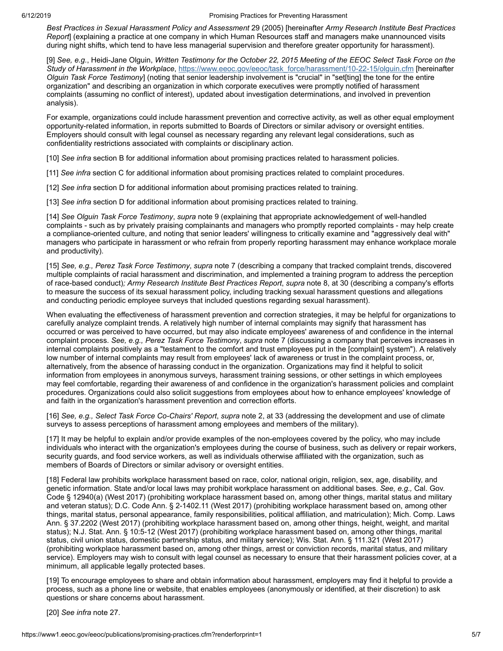*Best Practices in Sexual Harassment Policy and Assessment* 29 (2005) [hereinafter *Army Research Institute Best Practices Report*] (explaining a practice at one company in which Human Resources staff and managers make unannounced visits during night shifts, which tend to have less managerial supervision and therefore greater opportunity for harassment).

<span id="page-4-0"></span>[9] See, e.g., Heidi-Jane Olguin, Written Testimony for the October 22, 2015 Meeting of the EEOC Select Task Force on the *Study of Harassment in the Workplace*, [https://www.eeoc.gov/eeoc/task\\_force/harassment/10-22-15/olguin.cfm](https://www.eeoc.gov/eeoc/task_force/harassment/10-22-15/olguin.cfm) [hereinafter *Olguin Task Force Testimony*] (noting that senior leadership involvement is "crucial" in "set[ting] the tone for the entire organization" and describing an organization in which corporate executives were promptly notified of harassment complaints (assuming no conflict of interest), updated about investigation determinations, and involved in prevention analysis).

For example, organizations could include harassment prevention and corrective activity, as well as other equal employment opportunity-related information, in reports submitted to Boards of Directors or similar advisory or oversight entities. Employers should consult with legal counsel as necessary regarding any relevant legal considerations, such as confidentiality restrictions associated with complaints or disciplinary action.

- <span id="page-4-1"></span>[10] *See infra* section B for additional information about promising practices related to harassment policies.
- <span id="page-4-2"></span>[11] *See infra* section C for additional information about promising practices related to complaint procedures.
- <span id="page-4-3"></span>[12] *See infra* section D for additional information about promising practices related to training.
- <span id="page-4-4"></span>[13] *See infra* section D for additional information about promising practices related to training.

<span id="page-4-5"></span>[14] *See Olguin Task Force Testimony*, *supra* note 9 (explaining that appropriate acknowledgement of well-handled complaints - such as by privately praising complainants and managers who promptly reported complaints - may help create a compliance-oriented culture, and noting that senior leaders' willingness to critically examine and "aggressively deal with" managers who participate in harassment or who refrain from properly reporting harassment may enhance workplace morale and productivity).

<span id="page-4-6"></span>[15] *See, e.g., Perez Task Force Testimony*, *supra* note 7 (describing a company that tracked complaint trends, discovered multiple complaints of racial harassment and discrimination, and implemented a training program to address the perception of race-based conduct)*; Army Research Institute Best Practices Report*, *supra* note 8, at 30 (describing a company's efforts to measure the success of its sexual harassment policy, including tracking sexual harassment questions and allegations and conducting periodic employee surveys that included questions regarding sexual harassment).

When evaluating the effectiveness of harassment prevention and correction strategies, it may be helpful for organizations to carefully analyze complaint trends. A relatively high number of internal complaints may signify that harassment has occurred or was perceived to have occurred, but may also indicate employees' awareness of and confidence in the internal complaint process. *See, e.g., Perez Task Force Testimony*, *supra* note 7 (discussing a company that perceives increases in internal complaints positively as a "testament to the comfort and trust employees put in the [complaint] system"). A relatively low number of internal complaints may result from employees' lack of awareness or trust in the complaint process, or, alternatively, from the absence of harassing conduct in the organization. Organizations may find it helpful to solicit information from employees in anonymous surveys, harassment training sessions, or other settings in which employees may feel comfortable, regarding their awareness of and confidence in the organization's harassment policies and complaint procedures. Organizations could also solicit suggestions from employees about how to enhance employees' knowledge of and faith in the organization's harassment prevention and correction efforts.

<span id="page-4-7"></span>[16] *See, e.g., Select Task Force Co-Chairs' Report*, *supra* note 2, at 33 (addressing the development and use of climate surveys to assess perceptions of harassment among employees and members of the military).

<span id="page-4-8"></span>[17] It may be helpful to explain and/or provide examples of the non-employees covered by the policy, who may include individuals who interact with the organization's employees during the course of business, such as delivery or repair workers, security guards, and food service workers, as well as individuals otherwise affiliated with the organization, such as members of Boards of Directors or similar advisory or oversight entities.

<span id="page-4-9"></span>[18] Federal law prohibits workplace harassment based on race, color, national origin, religion, sex, age, disability, and genetic information. State and/or local laws may prohibit workplace harassment on additional bases. *See, e.g.,* Cal. Gov. Code § 12940(a) (West 2017) (prohibiting workplace harassment based on, among other things, marital status and military and veteran status); D.C. Code Ann. § 2-1402.11 (West 2017) (prohibiting workplace harassment based on, among other things, marital status, personal appearance, family responsibilities, political affiliation, and matriculation); Mich. Comp. Laws Ann. § 37.2202 (West 2017) (prohibiting workplace harassment based on, among other things, height, weight, and marital status); N.J. Stat. Ann. § 10:5-12 (West 2017) (prohibiting workplace harassment based on, among other things, marital status, civil union status, domestic partnership status, and military service); Wis. Stat. Ann. § 111.321 (West 2017) (prohibiting workplace harassment based on, among other things, arrest or conviction records, marital status, and military service). Employers may wish to consult with legal counsel as necessary to ensure that their harassment policies cover, at a minimum, all applicable legally protected bases.

<span id="page-4-10"></span>[19] To encourage employees to share and obtain information about harassment, employers may find it helpful to provide a process, such as a phone line or website, that enables employees (anonymously or identified, at their discretion) to ask questions or share concerns about harassment.

<span id="page-4-11"></span>[20] *See infra* note 27.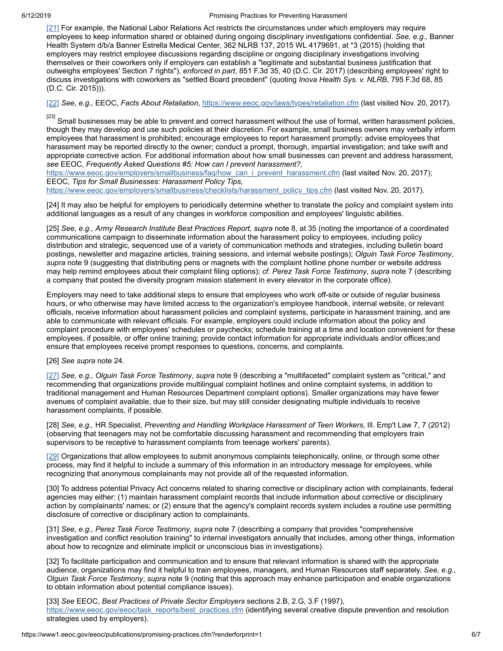<span id="page-5-0"></span>[\[21\]](#page-1-0) For example, the National Labor Relations Act restricts the circumstances under which employers may require employees to keep information shared or obtained during ongoing disciplinary investigations confidential. *See, e.g.,* Banner Health System d/b/a Banner Estrella Medical Center, 362 NLRB 137, 2015 WL 4179691, at \*3 (2015) (holding that employers may restrict employee discussions regarding discipline or ongoing disciplinary investigations involving themselves or their coworkers only if employers can establish a "legitimate and substantial business justification that outweighs employees' Section 7 rights"), *enforced in part*, 851 F.3d 35, 40 (D.C. Cir. 2017) (describing employees' right to discuss investigations with coworkers as "settled Board precedent" (quoting *Inova Health Sys. v. NLRB*, 795 F.3d 68, 85 (D.C. Cir. 2015))).

<span id="page-5-1"></span>[\[22\]](#page-1-1) *See, e.g.,* EEOC, *Facts About Retaliation*, <https://www.eeoc.gov/laws/types/retaliation.cfm> (last visited Nov. 20, 2017)*.*

<span id="page-5-2"></span> $^{[23]}$  Small businesses may be able to prevent and correct harassment without the use of formal, written harassment policies, though they may develop and use such policies at their discretion. For example, small business owners may verbally inform employees that harassment is prohibited; encourage employees to report harassment promptly; advise employees that harassment may be reported directly to the owner; conduct a prompt, thorough, impartial investigation; and take swift and appropriate corrective action. For additional information about how small businesses can prevent and address harassment, *see* EEOC, *Frequently Asked Questions #5: How can I prevent harassment?,*

[https://www.eeoc.gov/employers/smallbusiness/faq/how\\_can\\_i\\_prevent\\_harassment.cfm](https://www.eeoc.gov/employers/smallbusiness/faq/how_can_i_prevent_harassment.cfm) (last visited Nov. 20, 2017); EEOC, *Tips for Small Businesses: Harassment Policy Tips,*

[https://www.eeoc.gov/employers/smallbusiness/checklists/harassment\\_policy\\_tips.cfm](https://www.eeoc.gov/employers/smallbusiness/checklists/harassment_policy_tips.cfm) (last visited Nov. 20, 2017).

<span id="page-5-3"></span>[24] It may also be helpful for employers to periodically determine whether to translate the policy and complaint system into additional languages as a result of any changes in workforce composition and employees' linguistic abilities.

<span id="page-5-4"></span>[25] *See, e.g., Army Research Institute Best Practices Report, supra* note 8, at 35 (noting the importance of a coordinated communications campaign to disseminate information about the harassment policy to employees, including policy distribution and strategic, sequenced use of a variety of communication methods and strategies, including bulletin board postings, newsletter and magazine articles, training sessions, and internal website postings); *Olguin Task Force Testimony*, *supra* note 9 (suggesting that distributing pens or magnets with the complaint hotline phone number or website address may help remind employees about their complaint filing options); *cf. Perez Task Force Testimony*, *supra* note 7 (describing a company that posted the diversity program mission statement in every elevator in the corporate office).

Employers may need to take additional steps to ensure that employees who work off-site or outside of regular business hours, or who otherwise may have limited access to the organization's employee handbook, internal website, or relevant officials, receive information about harassment policies and complaint systems, participate in harassment training, and are able to communicate with relevant officials. For example, employers could include information about the policy and complaint procedure with employees' schedules or paychecks; schedule training at a time and location convenient for these employees, if possible, or offer online training; provide contact information for appropriate individuals and/or offices;and ensure that employees receive prompt responses to questions, concerns, and complaints.

<span id="page-5-5"></span>[26] *See supra* note 24.

<span id="page-5-6"></span>[\[27\]](#page-1-2) *See, e.g., Olguin Task Force Testimony*, *supra* note 9 (describing a "multifaceted" complaint system as "critical," and recommending that organizations provide multilingual complaint hotlines and online complaint systems, in addition to traditional management and Human Resources Department complaint options). Smaller organizations may have fewer avenues of complaint available, due to their size, but may still consider designating multiple individuals to receive harassment complaints, if possible.

<span id="page-5-7"></span>[28] *See, e.g.,* HR Specialist, *Preventing and Handling Workplace Harassment of Teen Workers*, Ill. Emp't Law 7, 7 (2012) (observing that teenagers may not be comfortable discussing harassment and recommending that employers train supervisors to be receptive to harassment complaints from teenage workers' parents).

<span id="page-5-8"></span>[\[29\]](#page-1-3) Organizations that allow employees to submit anonymous complaints telephonically, online, or through some other process, may find it helpful to include a summary of this information in an introductory message for employees, while recognizing that anonymous complainants may not provide all of the requested information.

<span id="page-5-9"></span>[30] To address potential Privacy Act concerns related to sharing corrective or disciplinary action with complainants, federal agencies may either: (1) maintain harassment complaint records that include information about corrective or disciplinary action by complainants' names; or (2) ensure that the agency's complaint records system includes a routine use permitting disclosure of corrective or disciplinary action to complainants.

<span id="page-5-10"></span>[31] *See, e.g., Perez Task Force Testimony*, *supra* note 7 (describing a company that provides "comprehensive investigation and conflict resolution training" to internal investigators annually that includes, among other things, information about how to recognize and eliminate implicit or unconscious bias in investigations).

<span id="page-5-11"></span>[32] To facilitate participation and communication and to ensure that relevant information is shared with the appropriate audience, organizations may find it helpful to train employees, managers, and Human Resources staff separately. *See, e.g., Olguin Task Force Testimony*, *supra* note 9 (noting that this approach may enhance participation and enable organizations to obtain information about potential compliance issues).

<span id="page-5-12"></span>[33] *See* EEOC, *Best Practices of Private Sector Employers* sections 2.B, 2.G, 3.F (1997), [https://www.eeoc.gov/eeoc/task\\_reports/best\\_practices.cfm](https://www.eeoc.gov/eeoc/task_reports/best_practices.cfm) (identifying several creative dispute prevention and resolution strategies used by employers).